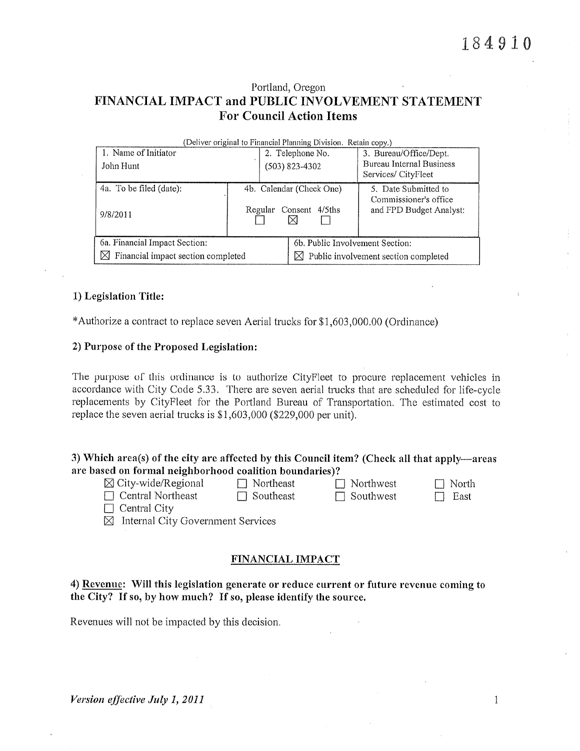## Portland, Oregon FINANCIAL IMPACT and PUBLIC INVOLVEMENT STATEMENT **For Council Action Items**

| (Deliver original to Financial Planning Division. Retain copy.) |         |                          |                                                                          |  |  |  |  |  |  |
|-----------------------------------------------------------------|---------|--------------------------|--------------------------------------------------------------------------|--|--|--|--|--|--|
| 1. Name of Initiator                                            |         | 2. Telephone No.         | 3. Bureau/Office/Dept.                                                   |  |  |  |  |  |  |
| John Hunt                                                       |         | $(503)$ 823-4302         | Bureau Internal Business<br>Services/CityFleet                           |  |  |  |  |  |  |
| 4a. To be filed (date):                                         |         | 4b. Calendar (Check One) | 5. Date Submitted to<br>Commissioner's office<br>and FPD Budget Analyst: |  |  |  |  |  |  |
| 9/8/2011                                                        | Regular | Consent 4/5ths           |                                                                          |  |  |  |  |  |  |
| 6a. Financial Impact Section:                                   |         |                          | 6b. Public Involvement Section:                                          |  |  |  |  |  |  |
| ⋈<br>Financial impact section completed                         |         |                          | $\boxtimes$ Public involvement section completed                         |  |  |  |  |  |  |

#### 1) Legislation Title:

\*Authorize a contract to replace seven Aerial trucks for \$1,603,000.00 (Ordinance)

#### 2) Purpose of the Proposed Legislation:

The purpose of this ordinance is to authorize CityFleet to procure replacement vehicles in accordance with City Code 5.33. There are seven aerial trucks that are scheduled for life-cycle replacements by CityFleet for the Portland Bureau of Transportation. The estimated cost to replace the seven aerial trucks is \$1,603,000 (\$229,000 per unit).

### 3) Which area(s) of the city are affected by this Council item? (Check all that apply—areas are based on formal neighborhood coalition boundaries)?

 $\boxtimes$  City-wide/Regional  $\Box$  Central Northeast

 $\Box$  Northeast  $\Box$  Southeast  $\Box$  Northwest  $\Box$  Southwest

 $\Box$  North  $\Box$  East

 $\Box$  Central City

 $\boxtimes$  Internal City Government Services

#### FINANCIAL IMPACT

## 4) Revenue: Will this legislation generate or reduce current or future revenue coming to the City? If so, by how much? If so, please identify the source.

Revenues will not be impacted by this decision.

 $\mathbf{1}$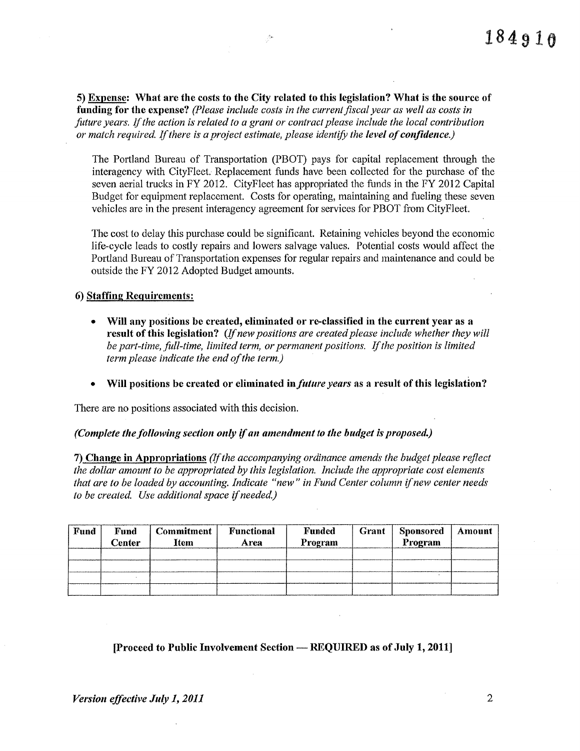5) Expense: What are the costs to the City related to this legislation? What is the source of funding for the expense? (Please include costs in the current fiscal year as well as costs in future years. If the action is related to a grant or contract please include the local contribution or match required. If there is a project estimate, please identify the level of confidence.)

Ž.

The Portland Bureau of Transportation (PBOT) pays for capital replacement through the interagency with CityFleet. Replacement funds have been collected for the purchase of the seven aerial trucks in FY 2012. CityFleet has appropriated the funds in the FY 2012 Capital Budget for equipment replacement. Costs for operating, maintaining and fueling these seven vehicles are in the present interagency agreement for services for PBOT from CityFleet.

The cost to delay this purchase could be significant. Retaining vehicles beyond the economic life-cycle leads to costly repairs and lowers salvage values. Potential costs would affect the Portland Bureau of Transportation expenses for regular repairs and maintenance and could be outside the FY 2012 Adopted Budget amounts.

6) Staffing Requirements:

- Will any positions be created, eliminated or re-classified in the current year as a result of this legislation? (If new positions are created please include whether they will be part-time, full-time, limited term, or permanent positions. If the position is limited term please indicate the end of the term.)
- Will positions be created or eliminated in *future years* as a result of this legislation?

There are no positions associated with this decision.

(Complete the following section only if an amendment to the budget is proposed.)

7) Change in Appropriations (If the accompanying ordinance amends the budget please reflect the dollar amount to be appropriated by this legislation. Include the appropriate cost elements that are to be loaded by accounting. Indicate "new" in Fund Center column if new center needs to be created. Use additional space if needed.)

| Fund | Fund<br>Center | <b>Commitment</b><br><b>Item</b> | Functional<br>Area | <b>Funded</b><br>Program | Grant | <b>Sponsored</b><br>Program | Amount |
|------|----------------|----------------------------------|--------------------|--------------------------|-------|-----------------------------|--------|
|      |                |                                  |                    |                          |       |                             |        |
|      |                |                                  |                    |                          |       |                             |        |
|      |                |                                  |                    |                          |       |                             |        |
|      |                |                                  |                    |                          |       |                             |        |

#### [Proceed to Public Involvement Section — REQUIRED as of July 1, 2011]

 $\overline{2}$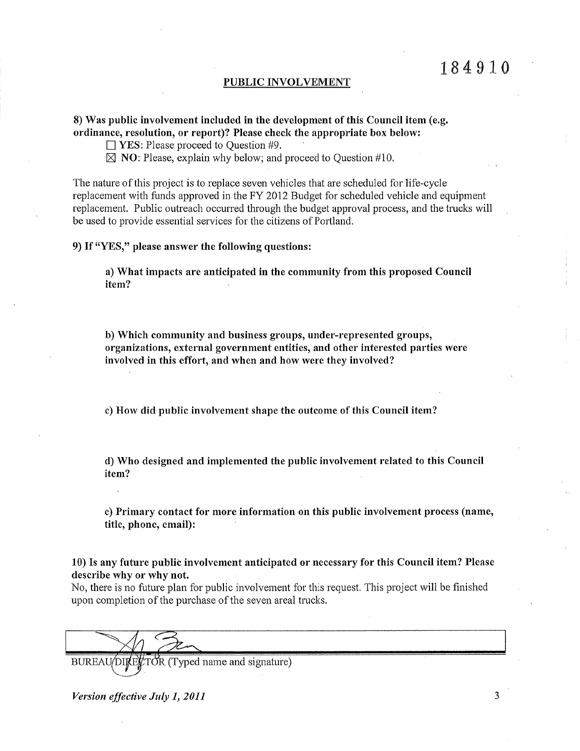#### PUBLIC INVOLVEMENT

#### 8) Was public involvement included in the development of this Council item (e.g. ordinance, resolution, or report)? Please check the appropriate box below:

 $\Box$  YES: Please proceed to Question #9.

 $\boxtimes$  NO: Please, explain why below; and proceed to Ouestion #10.

The nature of this project is to replace seven vehicles that are scheduled for life-cycle replacement with funds approved in the FY 2012 Budget for scheduled vehicle and equipment replacement. Public outreach occurred through the budget approval process, and the trucks will be used to provide essential services for the citizens of Portland.

#### 9) If "YES," please answer the following questions:

a) What impacts are anticipated in the community from this proposed Council item?

b) Which community and business groups, under-represented groups, organizations, external government entities, and other interested parties were involved in this effort, and when and how were they involved?

c) How did public involvement shape the outcome of this Council item?

d) Who designed and implemented the public involvement related to this Council item?

e) Primary contact for more information on this public involvement process (name, title, phone, email):

10) Is any future public involvement anticipated or necessary for this Council item? Please describe why or why not.

No, there is no future plan for public involvement for this request. This project will be finished upon completion of the purchase of the seven areal trucks.

BUREAU/DIRENTOR (Typed name and signature)

Version effective July 1, 2011

3